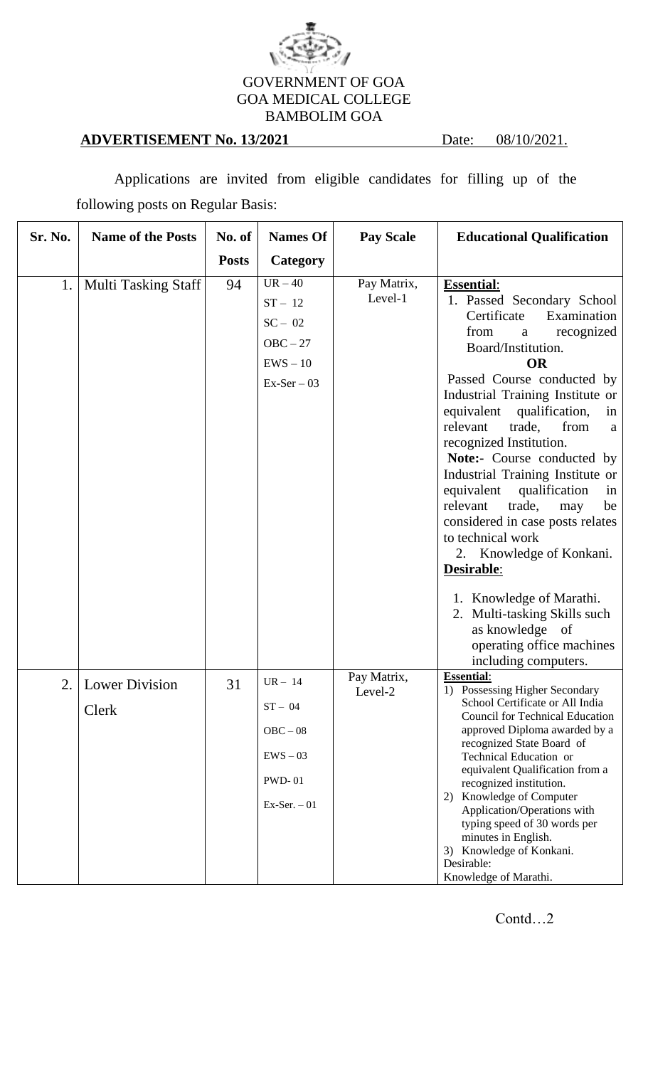

## **ADVERTISEMENT No. 13/2021** Date: 08/10/2021.

Applications are invited from eligible candidates for filling up of the following posts on Regular Basis:

| Sr. No. | <b>Name of the Posts</b>   | No. of       | <b>Names Of</b>                                                                | <b>Pay Scale</b>       | <b>Educational Qualification</b>                                                                                                                                                                                                                                                                                                                                                                                                                                                                                                                                                                                                                                        |
|---------|----------------------------|--------------|--------------------------------------------------------------------------------|------------------------|-------------------------------------------------------------------------------------------------------------------------------------------------------------------------------------------------------------------------------------------------------------------------------------------------------------------------------------------------------------------------------------------------------------------------------------------------------------------------------------------------------------------------------------------------------------------------------------------------------------------------------------------------------------------------|
|         |                            | <b>Posts</b> | Category                                                                       |                        |                                                                                                                                                                                                                                                                                                                                                                                                                                                                                                                                                                                                                                                                         |
| 1.      | <b>Multi Tasking Staff</b> | 94           | $UR - 40$<br>$ST - 12$<br>$SC - 02$<br>$OBC - 27$<br>$EWS - 10$<br>$Ex-Ser-03$ | Pay Matrix,<br>Level-1 | <b>Essential:</b><br>1. Passed Secondary School<br>Certificate<br>Examination<br>recognized<br>from<br>a<br>Board/Institution.<br><b>OR</b><br>Passed Course conducted by<br>Industrial Training Institute or<br>equivalent qualification,<br>in<br>relevant<br>trade,<br>from<br>a<br>recognized Institution.<br>Note:- Course conducted by<br>Industrial Training Institute or<br>equivalent<br>qualification<br>in<br>relevant<br>trade,<br>may<br>be<br>considered in case posts relates<br>to technical work<br>2. Knowledge of Konkani.<br>Desirable:<br>1. Knowledge of Marathi.<br>2. Multi-tasking Skills such<br>as knowledge of<br>operating office machines |
| 2.      | <b>Lower Division</b>      | 31           | $UR - 14$                                                                      | Pay Matrix,            | including computers.<br><b>Essential:</b><br>1) Possessing Higher Secondary                                                                                                                                                                                                                                                                                                                                                                                                                                                                                                                                                                                             |
|         | Clerk                      |              | $ST - 04$<br>$OBC - 08$<br>$EWS - 03$<br><b>PWD-01</b><br>$Ex-Ser. -01$        | Level-2                | School Certificate or All India<br><b>Council for Technical Education</b><br>approved Diploma awarded by a<br>recognized State Board of<br>Technical Education or<br>equivalent Qualification from a<br>recognized institution.<br>2) Knowledge of Computer<br>Application/Operations with<br>typing speed of 30 words per<br>minutes in English.<br>3) Knowledge of Konkani.<br>Desirable:<br>Knowledge of Marathi.                                                                                                                                                                                                                                                    |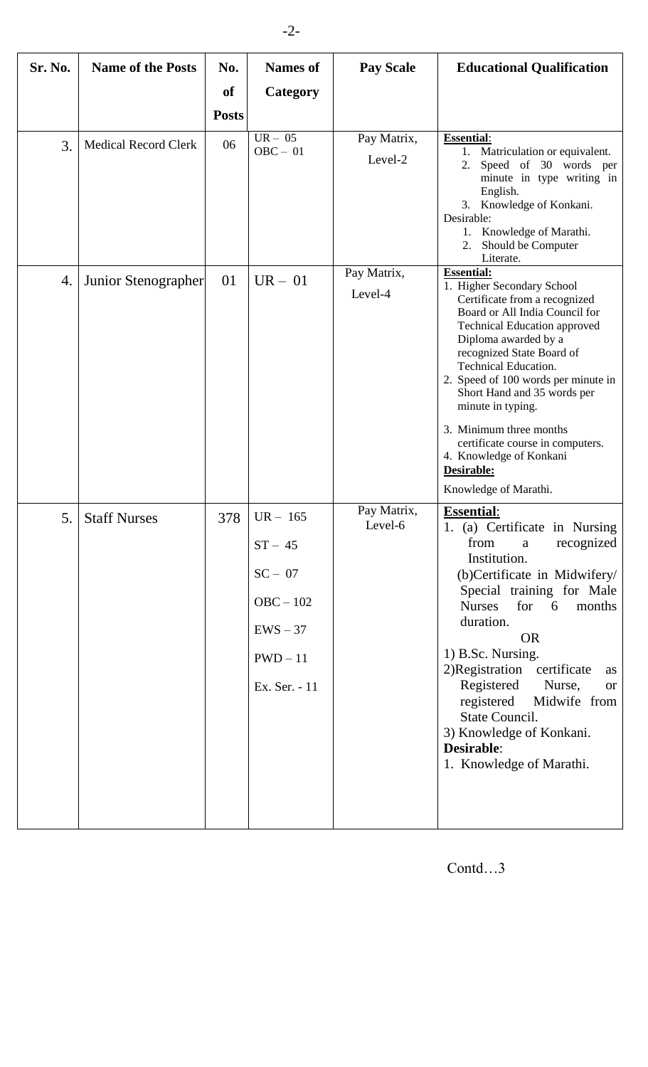| Sr. No. | <b>Name of the Posts</b>    | No.          | <b>Names of</b>                                                                                | <b>Pay Scale</b>       | <b>Educational Qualification</b>                                                                                                                                                                                                                                                                                                                                                                                                                                          |
|---------|-----------------------------|--------------|------------------------------------------------------------------------------------------------|------------------------|---------------------------------------------------------------------------------------------------------------------------------------------------------------------------------------------------------------------------------------------------------------------------------------------------------------------------------------------------------------------------------------------------------------------------------------------------------------------------|
|         |                             | <b>of</b>    | Category                                                                                       |                        |                                                                                                                                                                                                                                                                                                                                                                                                                                                                           |
|         |                             | <b>Posts</b> |                                                                                                |                        |                                                                                                                                                                                                                                                                                                                                                                                                                                                                           |
| 3.      | <b>Medical Record Clerk</b> | 06           | $UR - 05$<br>$OBC - 01$                                                                        | Pay Matrix,<br>Level-2 | <b>Essential:</b><br>1. Matriculation or equivalent.<br>Speed of 30 words per<br>2.<br>minute in type writing in<br>English.<br>3. Knowledge of Konkani.<br>Desirable:<br>Knowledge of Marathi.<br>1.<br>Should be Computer<br>2.<br>Literate.                                                                                                                                                                                                                            |
| 4.      | Junior Stenographer         | 01           | $UR - 01$                                                                                      | Pay Matrix,<br>Level-4 | <b>Essential:</b><br>1. Higher Secondary School<br>Certificate from a recognized<br>Board or All India Council for<br><b>Technical Education approved</b><br>Diploma awarded by a<br>recognized State Board of<br><b>Technical Education.</b><br>2. Speed of 100 words per minute in<br>Short Hand and 35 words per<br>minute in typing.<br>3. Minimum three months<br>certificate course in computers.<br>4. Knowledge of Konkani<br>Desirable:<br>Knowledge of Marathi. |
| 5.      | <b>Staff Nurses</b>         | 378          | $UR - 165$<br>$ST - 45$<br>$SC - 07$<br>$OBC - 102$<br>$EWS - 37$<br>$PWD-11$<br>Ex. Ser. - 11 | Pay Matrix,<br>Level-6 | <b>Essential:</b><br>1. (a) Certificate in Nursing<br>from<br>recognized<br>$\mathbf{a}$<br>Institution.<br>(b)Certificate in Midwifery/<br>Special training for Male<br><b>Nurses</b><br>for $6$<br>months<br>duration.<br><b>OR</b><br>1) B.Sc. Nursing.<br>2)Registration certificate<br>as<br>Registered<br>Nurse,<br><b>or</b><br>registered<br>Midwife from<br>State Council.<br>3) Knowledge of Konkani.<br>Desirable:<br>1. Knowledge of Marathi.                 |

Contd…3

-2-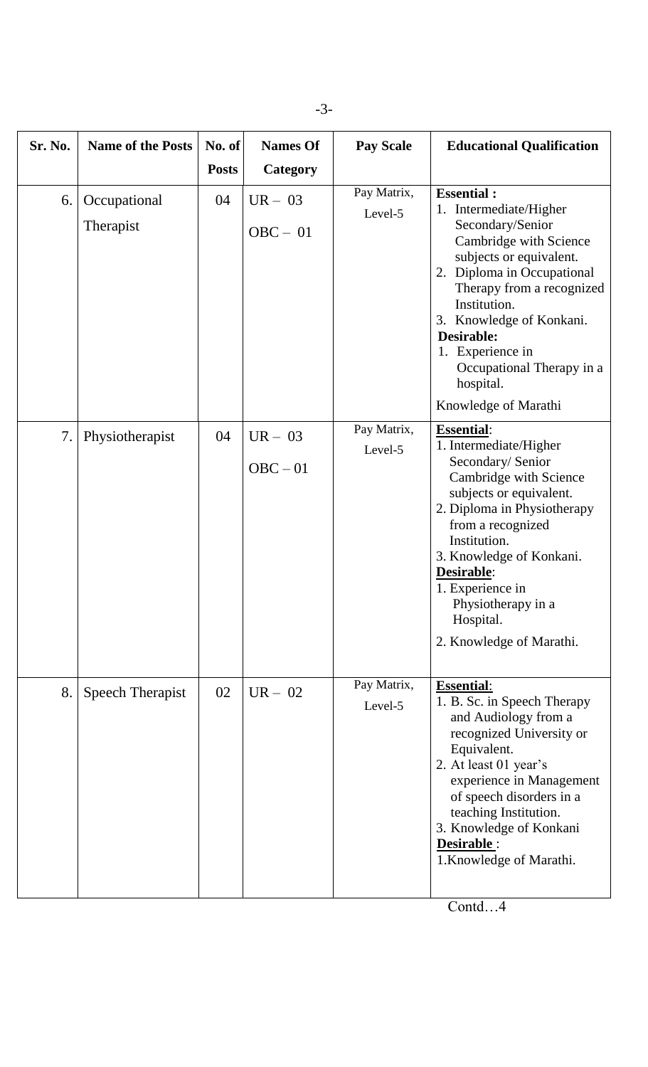| Sr. No. | <b>Name of the Posts</b>  | No. of       | <b>Names Of</b>         | <b>Pay Scale</b>       | <b>Educational Qualification</b>                                                                                                                                                                                                                                                                                                |
|---------|---------------------------|--------------|-------------------------|------------------------|---------------------------------------------------------------------------------------------------------------------------------------------------------------------------------------------------------------------------------------------------------------------------------------------------------------------------------|
|         |                           | <b>Posts</b> | <b>Category</b>         |                        |                                                                                                                                                                                                                                                                                                                                 |
| 6.      | Occupational<br>Therapist | 04           | $UR - 03$<br>$OBC - 01$ | Pay Matrix,<br>Level-5 | <b>Essential:</b><br>1. Intermediate/Higher<br>Secondary/Senior<br>Cambridge with Science<br>subjects or equivalent.<br>2. Diploma in Occupational<br>Therapy from a recognized<br>Institution.<br>3. Knowledge of Konkani.<br>Desirable:<br>1. Experience in<br>Occupational Therapy in a<br>hospital.<br>Knowledge of Marathi |
| 7.      | Physiotherapist           | 04           | $UR - 03$<br>$OBC - 01$ | Pay Matrix,<br>Level-5 | <b>Essential:</b><br>1. Intermediate/Higher<br>Secondary/ Senior<br>Cambridge with Science<br>subjects or equivalent.<br>2. Diploma in Physiotherapy<br>from a recognized<br>Institution.<br>3. Knowledge of Konkani.<br>Desirable:<br>1. Experience in<br>Physiotherapy in a<br>Hospital.<br>2. Knowledge of Marathi.          |
| 8.      | Speech Therapist          | 02           | $UR - 02$               | Pay Matrix,<br>Level-5 | <b>Essential:</b><br>1. B. Sc. in Speech Therapy<br>and Audiology from a<br>recognized University or<br>Equivalent.<br>2. At least 01 year's<br>experience in Management<br>of speech disorders in a<br>teaching Institution.<br>3. Knowledge of Konkani<br>Desirable:<br>1. Knowledge of Marathi.                              |

-3-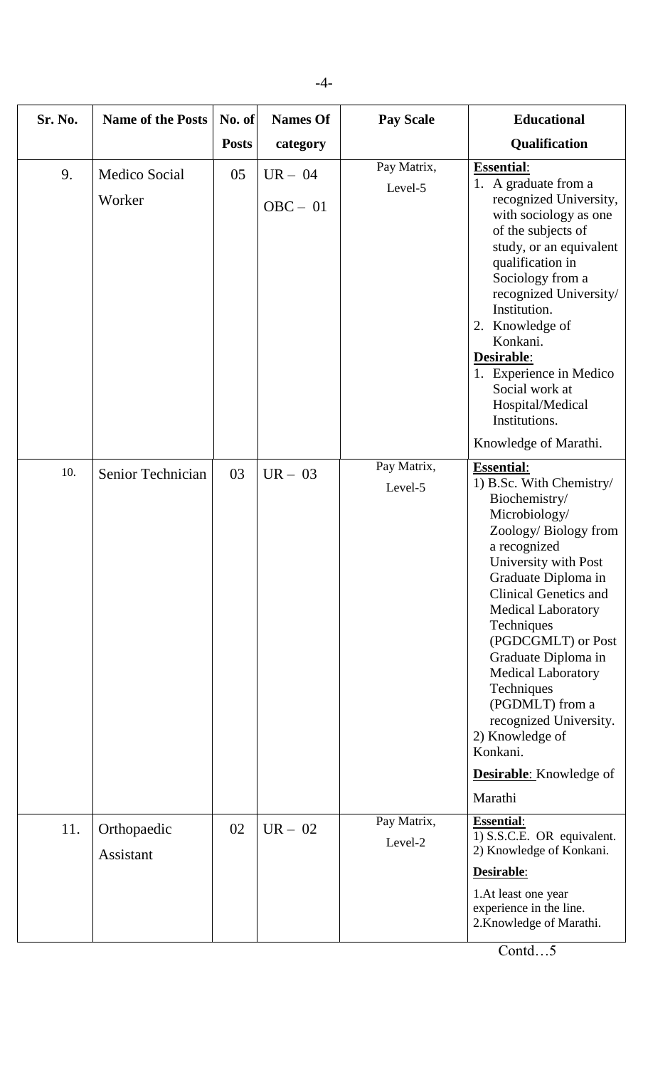| Sr. No. | <b>Name of the Posts</b> | No. of       | <b>Names Of</b>         | <b>Pay Scale</b>       | <b>Educational</b>                                                                                                                                                                                                                                                                                                                                                                                                                                                 |
|---------|--------------------------|--------------|-------------------------|------------------------|--------------------------------------------------------------------------------------------------------------------------------------------------------------------------------------------------------------------------------------------------------------------------------------------------------------------------------------------------------------------------------------------------------------------------------------------------------------------|
|         |                          | <b>Posts</b> | category                |                        | Qualification                                                                                                                                                                                                                                                                                                                                                                                                                                                      |
| 9.      | Medico Social<br>Worker  | 05           | $UR - 04$<br>$OBC - 01$ | Pay Matrix,<br>Level-5 | <b>Essential:</b><br>1. A graduate from a<br>recognized University,<br>with sociology as one<br>of the subjects of<br>study, or an equivalent<br>qualification in<br>Sociology from a<br>recognized University/<br>Institution.<br>2. Knowledge of<br>Konkani.<br>Desirable:<br>1. Experience in Medico<br>Social work at<br>Hospital/Medical<br>Institutions.<br>Knowledge of Marathi.                                                                            |
| 10.     | Senior Technician        | 03           | $UR - 03$               | Pay Matrix,<br>Level-5 | <b>Essential:</b><br>1) B.Sc. With Chemistry/<br>Biochemistry/<br>Microbiology/<br>Zoology/Biology from<br>a recognized<br>University with Post<br>Graduate Diploma in<br><b>Clinical Genetics and</b><br><b>Medical Laboratory</b><br>Techniques<br>(PGDCGMLT) or Post<br>Graduate Diploma in<br><b>Medical Laboratory</b><br>Techniques<br>(PGDMLT) from a<br>recognized University.<br>2) Knowledge of<br>Konkani.<br><b>Desirable:</b> Knowledge of<br>Marathi |
| 11.     | Orthopaedic<br>Assistant | 02           | $UR - 02$               | Pay Matrix,<br>Level-2 | <b>Essential:</b><br>1) S.S.C.E. OR equivalent.<br>2) Knowledge of Konkani.<br>Desirable:<br>1.At least one year<br>experience in the line.<br>2. Knowledge of Marathi.                                                                                                                                                                                                                                                                                            |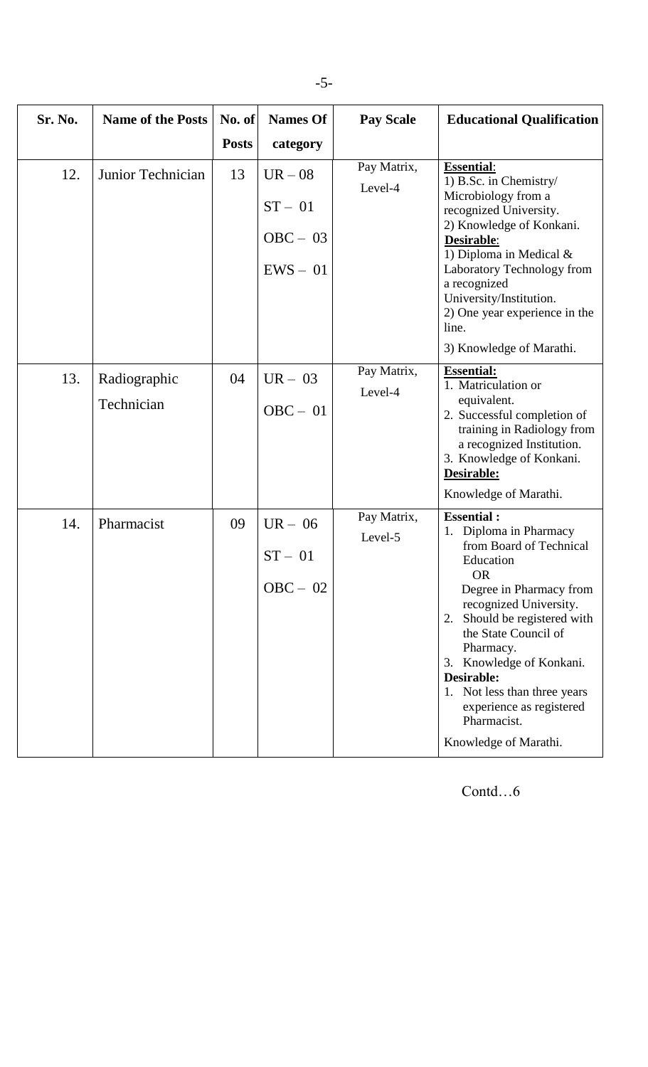-5-

| Sr. No. | <b>Name of the Posts</b> | $\bf{No. of}$      | <b>Names Of</b>       | <b>Pay Scale</b>       | <b>Educational Qualification</b>                                                                                          |
|---------|--------------------------|--------------------|-----------------------|------------------------|---------------------------------------------------------------------------------------------------------------------------|
| 12.     | Junior Technician        | <b>Posts</b><br>13 | category<br>$UR - 08$ | Pay Matrix,            | <b>Essential:</b><br>1) B.Sc. in Chemistry/                                                                               |
|         |                          |                    | $ST - 01$             | Level-4                | Microbiology from a<br>recognized University.<br>2) Knowledge of Konkani.                                                 |
|         |                          |                    | $OBC - 03$            |                        | Desirable:<br>1) Diploma in Medical $&$                                                                                   |
|         |                          |                    | $EWS - 01$            |                        | Laboratory Technology from<br>a recognized<br>University/Institution.                                                     |
|         |                          |                    |                       |                        | 2) One year experience in the<br>line.                                                                                    |
|         |                          |                    |                       |                        | 3) Knowledge of Marathi.                                                                                                  |
| 13.     | Radiographic             | 04                 | $UR - 03$             | Pay Matrix,<br>Level-4 | <b>Essential:</b><br>1. Matriculation or                                                                                  |
|         | Technician               |                    | $OBC - 01$            |                        | equivalent.<br>2. Successful completion of<br>training in Radiology from<br>a recognized Institution.                     |
|         |                          |                    |                       |                        | 3. Knowledge of Konkani.<br>Desirable:                                                                                    |
|         |                          |                    |                       |                        | Knowledge of Marathi.                                                                                                     |
| 14.     | Pharmacist               | 09                 | $UR - 06$             | Pay Matrix,<br>Level-5 | <b>Essential:</b><br>Diploma in Pharmacy<br>1.<br>from Board of Technical                                                 |
|         |                          |                    | $ST - 01$             |                        | Education<br><b>OR</b>                                                                                                    |
|         |                          |                    | $OBC - 02$            |                        | Degree in Pharmacy from<br>recognized University.<br>Should be registered with<br>2.<br>the State Council of<br>Pharmacy. |
|         |                          |                    |                       |                        | 3. Knowledge of Konkani.<br>Desirable:<br>Not less than three years                                                       |
|         |                          |                    |                       |                        | experience as registered<br>Pharmacist.                                                                                   |
|         |                          |                    |                       |                        | Knowledge of Marathi.                                                                                                     |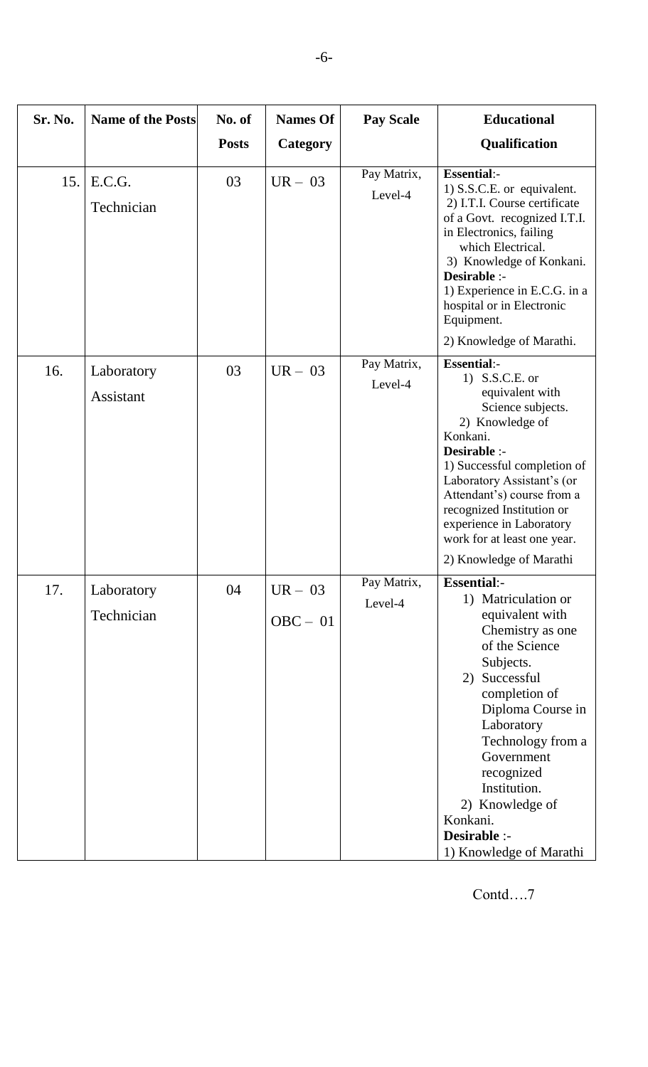| Sr. No. | <b>Name of the Posts</b> | No. of       | <b>Names Of</b>         | <b>Pay Scale</b>       | <b>Educational</b>                                                                                                                                                                                                                                                                                                                        |
|---------|--------------------------|--------------|-------------------------|------------------------|-------------------------------------------------------------------------------------------------------------------------------------------------------------------------------------------------------------------------------------------------------------------------------------------------------------------------------------------|
|         |                          | <b>Posts</b> | Category                |                        | Qualification                                                                                                                                                                                                                                                                                                                             |
| 15.     | E.C.G.<br>Technician     | 03           | $UR - 03$               | Pay Matrix,<br>Level-4 | <b>Essential:-</b><br>1) S.S.C.E. or equivalent.<br>2) I.T.I. Course certificate<br>of a Govt. recognized I.T.I.<br>in Electronics, failing<br>which Electrical.<br>3) Knowledge of Konkani.<br>Desirable :-<br>1) Experience in E.C.G. in a<br>hospital or in Electronic<br>Equipment.<br>2) Knowledge of Marathi.                       |
| 16.     | Laboratory<br>Assistant  | 03           | $UR - 03$               | Pay Matrix,<br>Level-4 | <b>Essential:-</b><br>1) S.S.C.E. or<br>equivalent with<br>Science subjects.<br>2) Knowledge of<br>Konkani.<br>Desirable :-<br>1) Successful completion of<br>Laboratory Assistant's (or<br>Attendant's) course from a<br>recognized Institution or<br>experience in Laboratory<br>work for at least one year.<br>2) Knowledge of Marathi |
| 17.     | Laboratory<br>Technician | 04           | $UR - 03$<br>$OBC - 01$ | Pay Matrix,<br>Level-4 | <b>Essential:-</b><br>1) Matriculation or<br>equivalent with<br>Chemistry as one<br>of the Science<br>Subjects.<br>Successful<br>2)<br>completion of<br>Diploma Course in<br>Laboratory<br>Technology from a<br>Government<br>recognized<br>Institution.<br>2) Knowledge of<br>Konkani.<br>Desirable :-<br>1) Knowledge of Marathi        |